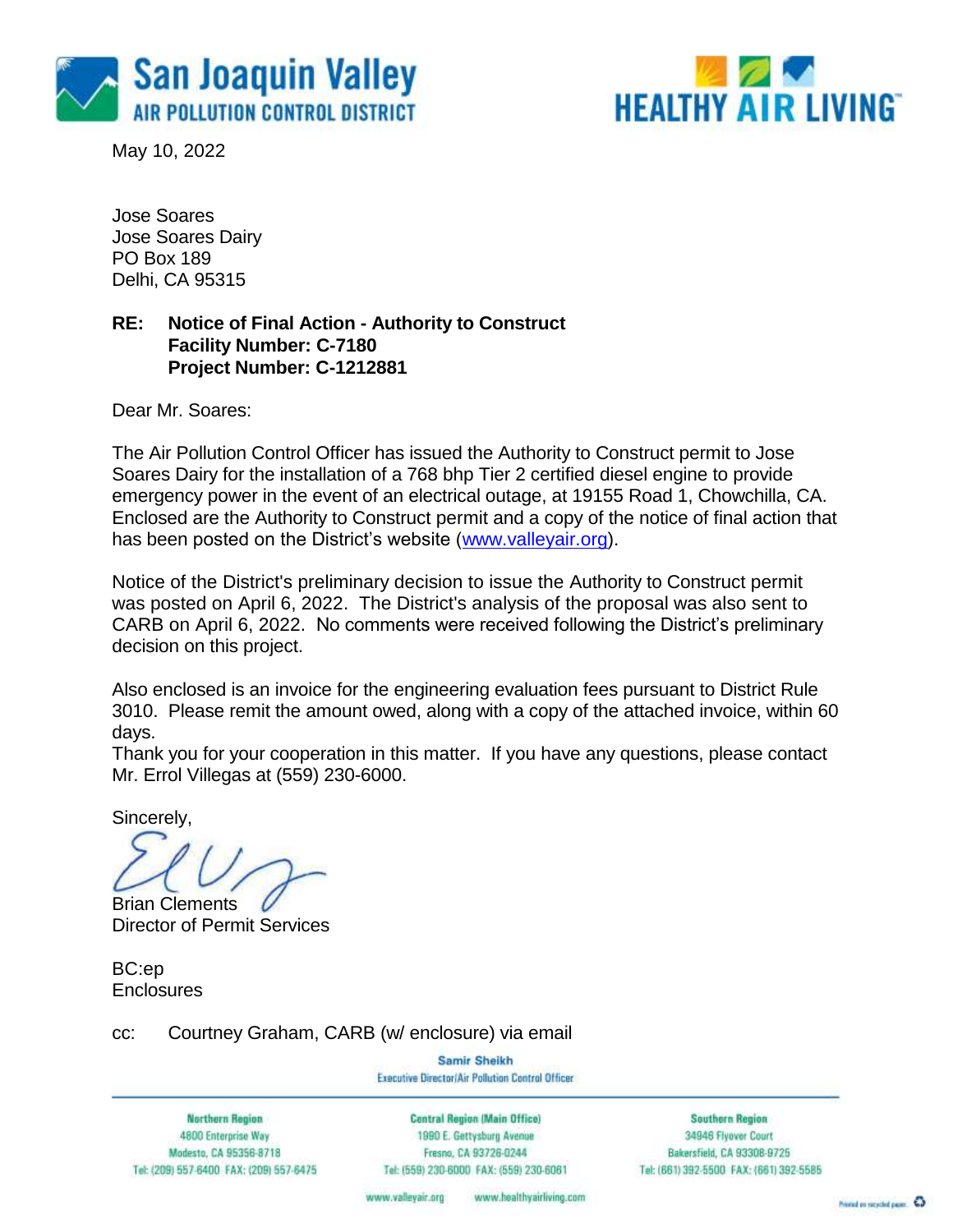

May 10, 2022



Jose Soares Jose Soares Dairy PO Box 189 Delhi, CA 95315

### **RE: Notice of Final Action - Authority to Construct Facility Number: C-7180 Project Number: C-1212881**

Dear Mr. Soares:

The Air Pollution Control Officer has issued the Authority to Construct permit to Jose Soares Dairy for the installation of a 768 bhp Tier 2 certified diesel engine to provide emergency power in the event of an electrical outage, at 19155 Road 1, Chowchilla, CA. Enclosed are the Authority to Construct permit and a copy of the notice of final action that has been posted on the District's website [\(www.valleyair.org\)](http://www.valleyair.org/).

Notice of the District's preliminary decision to issue the Authority to Construct permit was posted on April 6, 2022. The District's analysis of the proposal was also sent to CARB on April 6, 2022. No comments were received following the District's preliminary decision on this project.

Also enclosed is an invoice for the engineering evaluation fees pursuant to District Rule 3010. Please remit the amount owed, along with a copy of the attached invoice, within 60 days.

Thank you for your cooperation in this matter. If you have any questions, please contact Mr. Errol Villegas at (559) 230-6000.

Sincerely,

Brian Clements

Director of Permit Services

BC:ep **Enclosures** 

cc: Courtney Graham, CARB (w/ enclosure) via email

Samir Sheikh Executive Director/Air Pollution Control Officer

**Northern Region** 4800 Enterprise Way Modesto, CA 95356-8718 Tel: (209) 557-6400 FAX: (209) 557-6475

**Central Region (Main Office)** 1990 E. Gettysburg Avenue Fresna, CA 93726-0244 Tel: (559) 230-6000 FAX: (559) 230-6061

**Southern Region** 34946 Flyover Court Bakersfield, CA 93308-9725 Tel: (661) 392-5500 FAX: (661) 392-5585

www.healthyairliving.com www.valleyair.org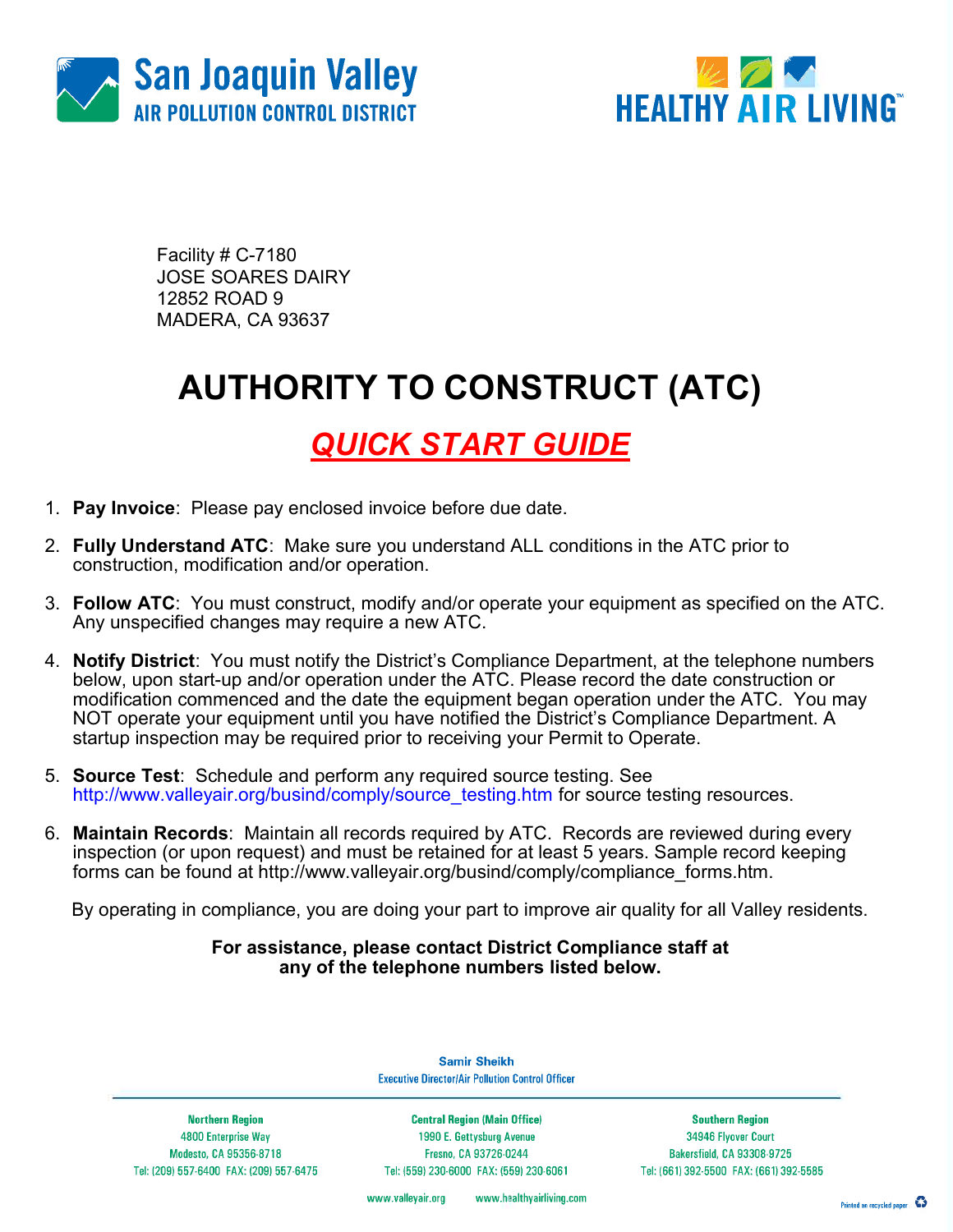



Facility # C-7180 JOSE SOARES DAIRY 12852 ROAD 9 MADERA, CA 93637

# AUTHORITY TO CONSTRUCT (ATC)

### QUICK START GUIDE

- 1. Pay Invoice: Please pay enclosed invoice before due date.
- 2. Fully Understand ATC: Make sure you understand ALL conditions in the ATC prior to construction, modification and/or operation.
- 3. Follow ATC: You must construct, modify and/or operate your equipment as specified on the ATC. Any unspecified changes may require a new ATC.
- 4. Notify District: You must notify the District's Compliance Department, at the telephone numbers below, upon start-up and/or operation under the ATC. Please record the date construction or modification commenced and the date the equipment began operation under the ATC. You may NOT operate your equipment until you have notified the District's Compliance Department. A startup inspection may be required prior to receiving your Permit to Operate.
- 5. Source Test: Schedule and perform any required source testing. See http://www.valleyair.org/busind/comply/source\_testing.htm for source testing resources.
- 6. Maintain Records: Maintain all records required by ATC. Records are reviewed during every inspection (or upon request) and must be retained for at least 5 years. Sample record keeping forms can be found at http://www.valleyair.org/busind/comply/compliance\_forms.htm.

By operating in compliance, you are doing your part to improve air quality for all Valley residents.

#### For assistance, please contact District Compliance staff at any of the telephone numbers listed below.

**Northern Region** 4800 Enterprise Way Modesto, CA 95356-8718 Tel: (209) 557-6400 FAX: (209) 557-6475

**Samir Sheikh Executive Director/Air Pollution Control Officer** 

**Central Region (Main Office)** 1990 E. Gettysburg Avenue Fresno, CA 93726-0244 Tel: (559) 230-6000 FAX: (559) 230-6061

**Southern Region** 34946 Flyover Court Bakersfield, CA 93308-9725 Tel: (661) 392-5500 FAX: (661) 392-5585

www.valleyair.org www.healthyairliving.com

Printed on recycled paper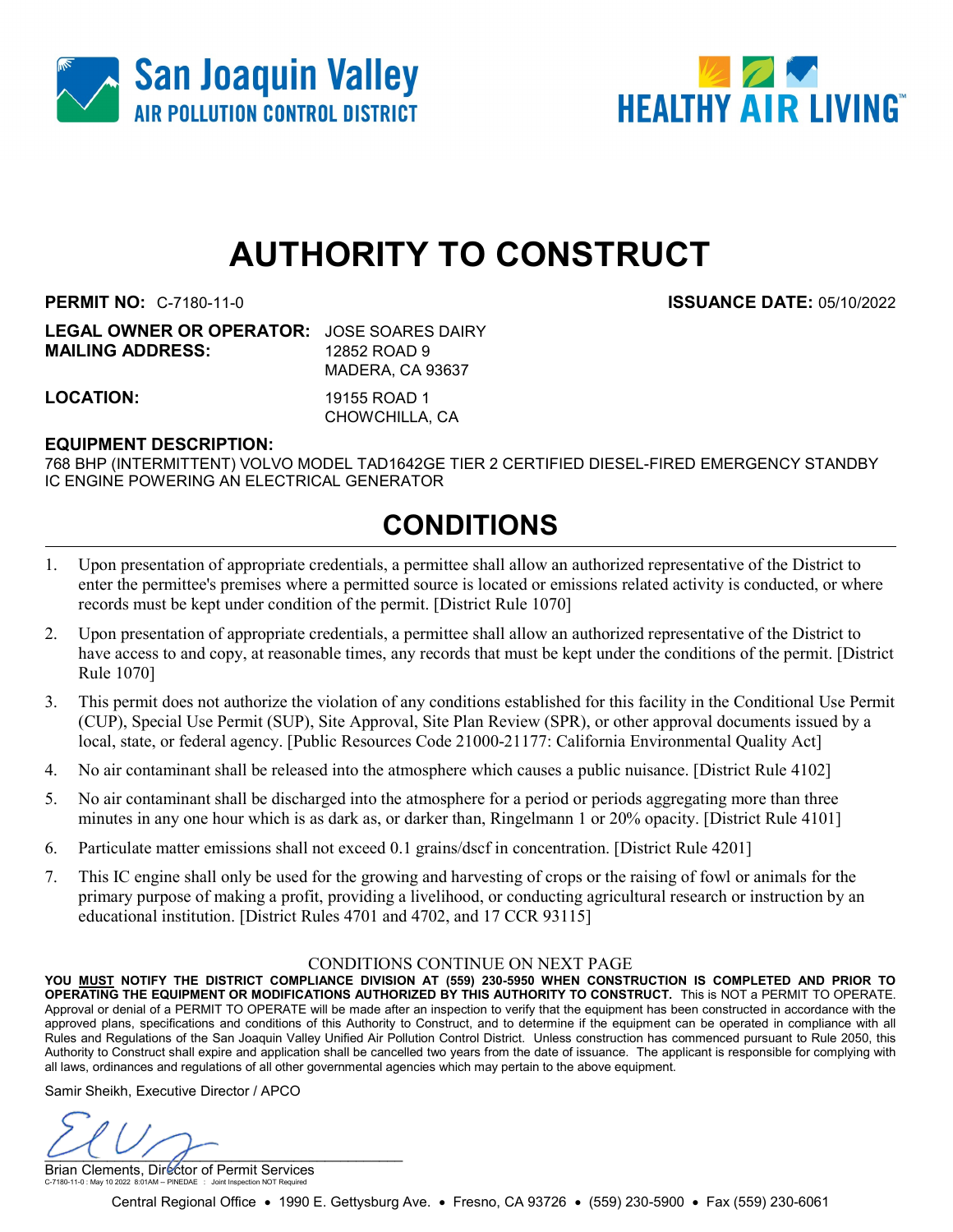



# AUTHORITY TO CONSTRUCT

PERMIT NO: C-7180-11-0 ISSUANCE DATE: 05/10/2022

| <b>LEGAL OWNER OR OPERATOR: JOSE SOARES DAIRY</b> |                  |
|---------------------------------------------------|------------------|
| <b>MAILING ADDRESS:</b>                           | 12852 ROAD 9     |
|                                                   | MADERA, CA 93637 |
|                                                   |                  |

LOCATION: 19155 ROAD 1

CHOWCHILLA, CA

#### EQUIPMENT DESCRIPTION:

768 BHP (INTERMITTENT) VOLVO MODEL TAD1642GE TIER 2 CERTIFIED DIESEL-FIRED EMERGENCY STANDBY IC ENGINE POWERING AN ELECTRICAL GENERATOR

### CONDITIONS

- 1. Upon presentation of appropriate credentials, a permittee shall allow an authorized representative of the District to enter the permittee's premises where a permitted source is located or emissions related activity is conducted, or where records must be kept under condition of the permit. [District Rule 1070]
- 2. Upon presentation of appropriate credentials, a permittee shall allow an authorized representative of the District to have access to and copy, at reasonable times, any records that must be kept under the conditions of the permit. [District Rule 1070]
- 3. This permit does not authorize the violation of any conditions established for this facility in the Conditional Use Permit (CUP), Special Use Permit (SUP), Site Approval, Site Plan Review (SPR), or other approval documents issued by a local, state, or federal agency. [Public Resources Code 21000-21177: California Environmental Quality Act]
- 4. No air contaminant shall be released into the atmosphere which causes a public nuisance. [District Rule 4102]
- 5. No air contaminant shall be discharged into the atmosphere for a period or periods aggregating more than three minutes in any one hour which is as dark as, or darker than, Ringelmann 1 or 20% opacity. [District Rule 4101]
- 6. Particulate matter emissions shall not exceed 0.1 grains/dscf in concentration. [District Rule 4201]
- 7. This IC engine shall only be used for the growing and harvesting of crops or the raising of fowl or animals for the primary purpose of making a profit, providing a livelihood, or conducting agricultural research or instruction by an educational institution. [District Rules 4701 and 4702, and 17 CCR 93115]

#### CONDITIONS CONTINUE ON NEXT PAGE

YOU MUST NOTIFY THE DISTRICT COMPLIANCE DIVISION AT (559) 230-5950 WHEN CONSTRUCTION IS COMPLETED AND PRIOR TO OPERATING THE EQUIPMENT OR MODIFICATIONS AUTHORIZED BY THIS AUTHORITY TO CONSTRUCT. This is NOT a PERMIT TO OPERATE. Approval or denial of a PERMIT TO OPERATE will be made after an inspection to verify that the equipment has been constructed in accordance with the approved plans, specifications and conditions of this Authority to Construct, and to determine if the equipment can be operated in compliance with all Rules and Regulations of the San Joaquin Valley Unified Air Pollution Control District. Unless construction has commenced pursuant to Rule 2050, this Authority to Construct shall expire and application shall be cancelled two years from the date of issuance. The applicant is responsible for complying with all laws, ordinances and regulations of all other governmental agencies which may pertain to the above equipment.

Samir Sheikh, Executive Director / APCO

 $\cup$ 

Brian Clements, Director of Permit Services C-7180-11-0 : May 10 2022 8:01AM -- PINEDAE : Joint Inspection NOT Required

Central Regional Office • 1990 E. Gettysburg Ave. • Fresno, CA 93726 • (559) 230-5900 • Fax (559) 230-6061